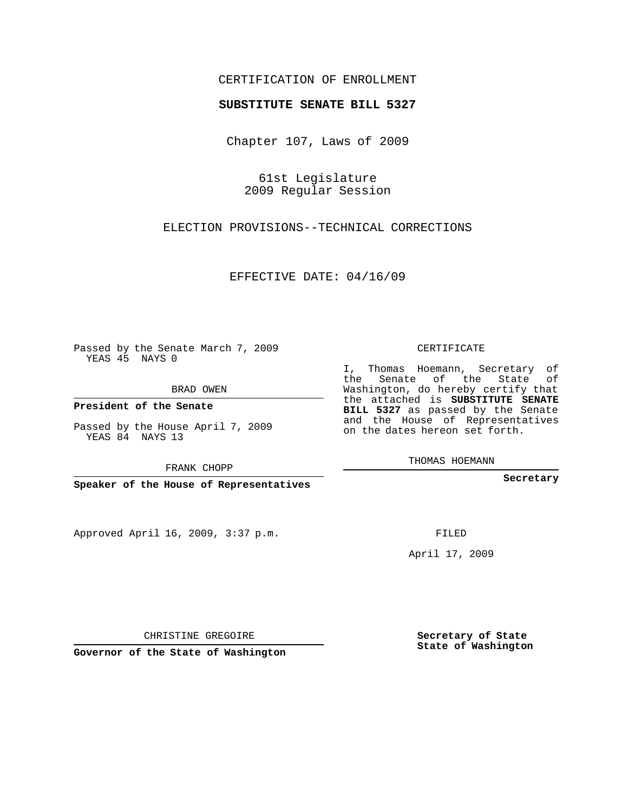## CERTIFICATION OF ENROLLMENT

## **SUBSTITUTE SENATE BILL 5327**

Chapter 107, Laws of 2009

61st Legislature 2009 Regular Session

ELECTION PROVISIONS--TECHNICAL CORRECTIONS

EFFECTIVE DATE: 04/16/09

Passed by the Senate March 7, 2009 YEAS 45 NAYS 0

BRAD OWEN

**President of the Senate**

Passed by the House April 7, 2009 YEAS 84 NAYS 13

FRANK CHOPP

**Speaker of the House of Representatives**

Approved April 16, 2009, 3:37 p.m.

CERTIFICATE

I, Thomas Hoemann, Secretary of the Senate of the State of Washington, do hereby certify that the attached is **SUBSTITUTE SENATE BILL 5327** as passed by the Senate and the House of Representatives on the dates hereon set forth.

THOMAS HOEMANN

**Secretary**

FILED

April 17, 2009

CHRISTINE GREGOIRE

**Governor of the State of Washington**

**Secretary of State State of Washington**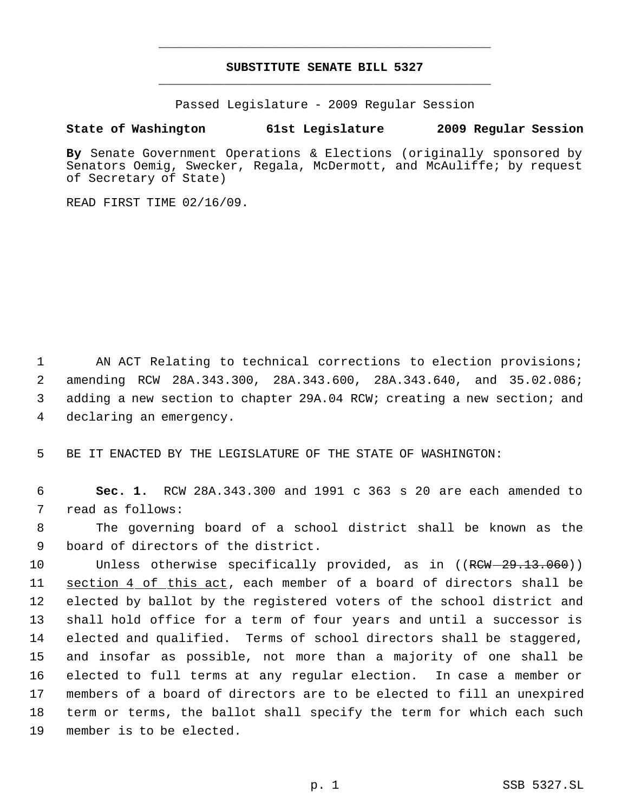## **SUBSTITUTE SENATE BILL 5327** \_\_\_\_\_\_\_\_\_\_\_\_\_\_\_\_\_\_\_\_\_\_\_\_\_\_\_\_\_\_\_\_\_\_\_\_\_\_\_\_\_\_\_\_\_

\_\_\_\_\_\_\_\_\_\_\_\_\_\_\_\_\_\_\_\_\_\_\_\_\_\_\_\_\_\_\_\_\_\_\_\_\_\_\_\_\_\_\_\_\_

Passed Legislature - 2009 Regular Session

## **State of Washington 61st Legislature 2009 Regular Session**

**By** Senate Government Operations & Elections (originally sponsored by Senators Oemig, Swecker, Regala, McDermott, and McAuliffe; by request of Secretary of State)

READ FIRST TIME 02/16/09.

1 AN ACT Relating to technical corrections to election provisions; amending RCW 28A.343.300, 28A.343.600, 28A.343.640, and 35.02.086; adding a new section to chapter 29A.04 RCW; creating a new section; and declaring an emergency.

5 BE IT ENACTED BY THE LEGISLATURE OF THE STATE OF WASHINGTON:

 6 **Sec. 1.** RCW 28A.343.300 and 1991 c 363 s 20 are each amended to 7 read as follows:

 8 The governing board of a school district shall be known as the 9 board of directors of the district.

10 Unless otherwise specifically provided, as in ((RCW-29.13.060)) section 4 of this act, each member of a board of directors shall be elected by ballot by the registered voters of the school district and shall hold office for a term of four years and until a successor is elected and qualified. Terms of school directors shall be staggered, and insofar as possible, not more than a majority of one shall be elected to full terms at any regular election. In case a member or members of a board of directors are to be elected to fill an unexpired term or terms, the ballot shall specify the term for which each such member is to be elected.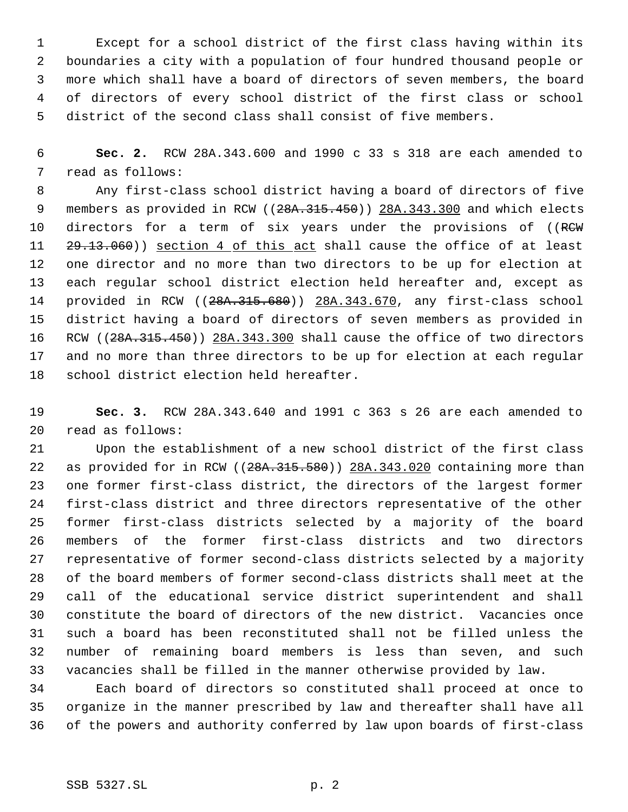Except for a school district of the first class having within its boundaries a city with a population of four hundred thousand people or more which shall have a board of directors of seven members, the board of directors of every school district of the first class or school district of the second class shall consist of five members.

 **Sec. 2.** RCW 28A.343.600 and 1990 c 33 s 318 are each amended to read as follows:

 Any first-class school district having a board of directors of five 9 members as provided in RCW ((28A.315.450)) 28A.343.300 and which elects 10 directors for a term of six years under the provisions of ((RCW 11 29.13.060)) section 4 of this act shall cause the office of at least one director and no more than two directors to be up for election at each regular school district election held hereafter and, except as provided in RCW ((28A.315.680)) 28A.343.670, any first-class school district having a board of directors of seven members as provided in 16 RCW ((28A.315.450)) 28A.343.300 shall cause the office of two directors and no more than three directors to be up for election at each regular school district election held hereafter.

 **Sec. 3.** RCW 28A.343.640 and 1991 c 363 s 26 are each amended to read as follows:

 Upon the establishment of a new school district of the first class 22 as provided for in RCW ((28A.315.580)) 28A.343.020 containing more than one former first-class district, the directors of the largest former first-class district and three directors representative of the other former first-class districts selected by a majority of the board members of the former first-class districts and two directors representative of former second-class districts selected by a majority of the board members of former second-class districts shall meet at the call of the educational service district superintendent and shall constitute the board of directors of the new district. Vacancies once such a board has been reconstituted shall not be filled unless the number of remaining board members is less than seven, and such vacancies shall be filled in the manner otherwise provided by law.

 Each board of directors so constituted shall proceed at once to organize in the manner prescribed by law and thereafter shall have all of the powers and authority conferred by law upon boards of first-class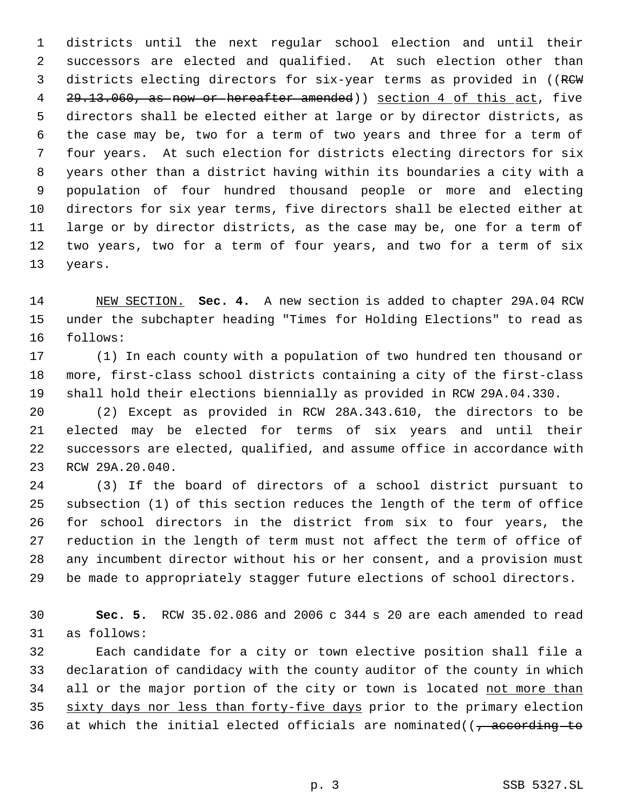districts until the next regular school election and until their successors are elected and qualified. At such election other than 3 districts electing directors for six-year terms as provided in ((RCW) 4 29.13.060, as now or hereafter amended) section 4 of this act, five directors shall be elected either at large or by director districts, as the case may be, two for a term of two years and three for a term of four years. At such election for districts electing directors for six years other than a district having within its boundaries a city with a population of four hundred thousand people or more and electing directors for six year terms, five directors shall be elected either at large or by director districts, as the case may be, one for a term of two years, two for a term of four years, and two for a term of six years.

 NEW SECTION. **Sec. 4.** A new section is added to chapter 29A.04 RCW under the subchapter heading "Times for Holding Elections" to read as follows:

 (1) In each county with a population of two hundred ten thousand or more, first-class school districts containing a city of the first-class shall hold their elections biennially as provided in RCW 29A.04.330.

 (2) Except as provided in RCW 28A.343.610, the directors to be elected may be elected for terms of six years and until their successors are elected, qualified, and assume office in accordance with RCW 29A.20.040.

 (3) If the board of directors of a school district pursuant to subsection (1) of this section reduces the length of the term of office for school directors in the district from six to four years, the reduction in the length of term must not affect the term of office of any incumbent director without his or her consent, and a provision must be made to appropriately stagger future elections of school directors.

 **Sec. 5.** RCW 35.02.086 and 2006 c 344 s 20 are each amended to read as follows:

 Each candidate for a city or town elective position shall file a declaration of candidacy with the county auditor of the county in which 34 all or the major portion of the city or town is located not more than 35 sixty days nor less than forty-five days prior to the primary election 36 at which the initial elected officials are nominated( $\sqrt{7}$  according to